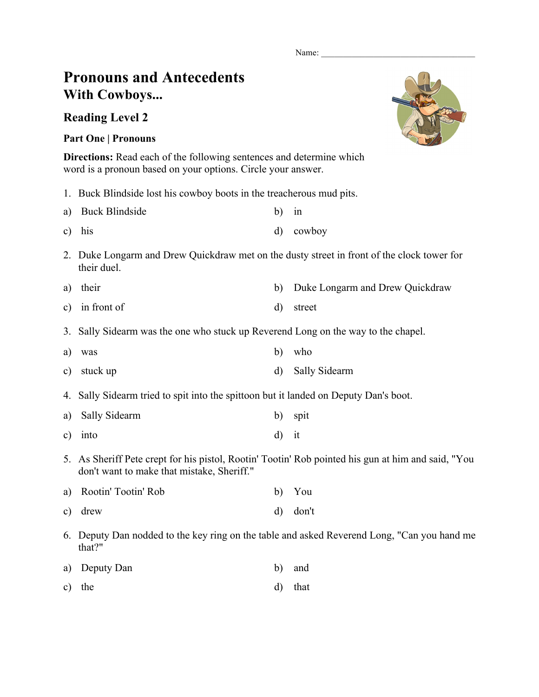Name:

## **Pronouns and Antecedents With Cowboys...**

## **Reading Level 2**

## **Part One | Pronouns**

**Directions:** Read each of the following sentences and determine which word is a pronoun based on your options. Circle your answer.

1. Buck Blindside lost his cowboy boots in the treacherous mud pits.

| a) Buck Blindside | $b)$ in |           |
|-------------------|---------|-----------|
| $c)$ his          |         | d) cowboy |

- 2. Duke Longarm and Drew Quickdraw met on the dusty street in front of the clock tower for their duel.
- a) their b) Duke Longarm and Drew Quickdraw c) in front of d) street
- 3. Sally Sidearm was the one who stuck up Reverend Long on the way to the chapel.
- a) was b) who
- c) stuck up d) Sally Sidearm
- 4. Sally Sidearm tried to spit into the spittoon but it landed on Deputy Dan's boot.
- a) Sally Sidearm b) spit c) into d) it
- 5. As Sheriff Pete crept for his pistol, Rootin' Tootin' Rob pointed his gun at him and said, "You don't want to make that mistake, Sheriff."

a) Rootin' Tootin' Rob b) You c) drew d) don't

6. Deputy Dan nodded to the key ring on the table and asked Reverend Long, "Can you hand me that?"

| a) Deputy Dan | b) and |
|---------------|--------|
|               |        |

c) the d) that

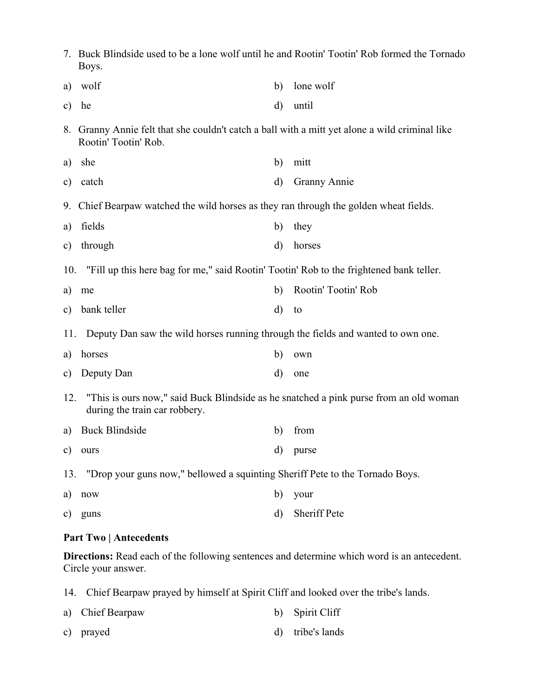|               | 7. Buck Blindside used to be a lone wolf until he and Rootin' Tootin' Rob formed the Tornado<br>Boys.                  |              |                     |  |
|---------------|------------------------------------------------------------------------------------------------------------------------|--------------|---------------------|--|
| a)            | wolf                                                                                                                   | b)           | lone wolf           |  |
| $\mathbf{c})$ | he                                                                                                                     | $\rm d)$     | until               |  |
| 8.            | Granny Annie felt that she couldn't catch a ball with a mitt yet alone a wild criminal like<br>Rootin' Tootin' Rob.    |              |                     |  |
| a)            | she                                                                                                                    | b)           | mitt                |  |
| $\mathbf{c})$ | catch                                                                                                                  | $\mathbf{d}$ | <b>Granny Annie</b> |  |
|               | Chief Bearpaw watched the wild horses as they ran through the golden wheat fields.<br>9.                               |              |                     |  |
| a)            | fields                                                                                                                 | b)           | they                |  |
| c)            | through                                                                                                                | $\mathbf{d}$ | horses              |  |
|               | "Fill up this here bag for me," said Rootin' Tootin' Rob to the frightened bank teller.<br>10.                         |              |                     |  |
| a)            | me                                                                                                                     | b)           | Rootin' Tootin' Rob |  |
| $\mathbf{c})$ | bank teller                                                                                                            | $\rm d)$     | to                  |  |
|               | Deputy Dan saw the wild horses running through the fields and wanted to own one.<br>11.                                |              |                     |  |
| a)            | horses                                                                                                                 | b)           | own                 |  |
| $\mathbf{c})$ | Deputy Dan                                                                                                             | d)           | one                 |  |
| 12.           | "This is ours now," said Buck Blindside as he snatched a pink purse from an old woman<br>during the train car robbery. |              |                     |  |
| a)            | <b>Buck Blindside</b>                                                                                                  | b)           | from                |  |
| $\mathbf{c})$ | ours                                                                                                                   | $\rm d$      | purse               |  |
|               | 13. "Drop your guns now," bellowed a squinting Sheriff Pete to the Tornado Boys.                                       |              |                     |  |
| a)            | now                                                                                                                    | b)           | your                |  |
| C)            | guns                                                                                                                   | $\rm d)$     | Sheriff Pete        |  |

## **Part Two | Antecedents**

**Directions:** Read each of the following sentences and determine which word is an antecedent. Circle your answer.

14. Chief Bearpaw prayed by himself at Spirit Cliff and looked over the tribe's lands.

| a) Chief Bearpaw | b) Spirit Cliff  |
|------------------|------------------|
| c) prayed        | d) tribe's lands |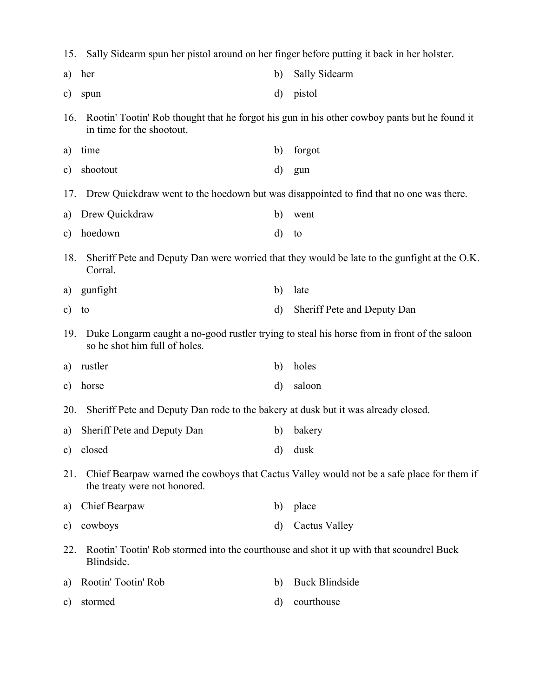|     | 15. Sally Sidearm spun her pistol around on her finger before putting it back in her holster.                                |              |                                                                                              |
|-----|------------------------------------------------------------------------------------------------------------------------------|--------------|----------------------------------------------------------------------------------------------|
| a)  | her                                                                                                                          | b)           | Sally Sidearm                                                                                |
| c)  | spun                                                                                                                         | d)           | pistol                                                                                       |
| 16. | Rootin' Tootin' Rob thought that he forgot his gun in his other cowboy pants but he found it<br>in time for the shootout.    |              |                                                                                              |
| a)  | time                                                                                                                         | b)           | forgot                                                                                       |
| c)  | shootout                                                                                                                     | $\rm d)$     | gun                                                                                          |
| 17. | Drew Quickdraw went to the hoedown but was disappointed to find that no one was there.                                       |              |                                                                                              |
| a)  | Drew Quickdraw                                                                                                               | b)           | went                                                                                         |
| c)  | hoedown                                                                                                                      | $\mathbf{d}$ | to                                                                                           |
| 18. | Corral.                                                                                                                      |              | Sheriff Pete and Deputy Dan were worried that they would be late to the gunfight at the O.K. |
| a)  | gunfight                                                                                                                     | b)           | late                                                                                         |
| c)  | to                                                                                                                           | $\mathbf{d}$ | Sheriff Pete and Deputy Dan                                                                  |
| 19. | Duke Longarm caught a no-good rustler trying to steal his horse from in front of the saloon<br>so he shot him full of holes. |              |                                                                                              |
| a)  | rustler                                                                                                                      | b)           | holes                                                                                        |
| c)  | horse                                                                                                                        | $\rm d)$     | saloon                                                                                       |
| 20. | Sheriff Pete and Deputy Dan rode to the bakery at dusk but it was already closed.                                            |              |                                                                                              |
| a)  | Sheriff Pete and Deputy Dan                                                                                                  | b)           | bakery                                                                                       |
| c)  | closed                                                                                                                       | $\mathbf{d}$ | dusk                                                                                         |
| 21. | the treaty were not honored.                                                                                                 |              | Chief Bearpaw warned the cowboys that Cactus Valley would not be a safe place for them if    |
| a)  | Chief Bearpaw                                                                                                                | b)           | place                                                                                        |
| c)  | cowboys                                                                                                                      | d)           | Cactus Valley                                                                                |
| 22. | Rootin' Tootin' Rob stormed into the courthouse and shot it up with that scoundrel Buck<br>Blindside.                        |              |                                                                                              |
| a)  | Rootin' Tootin' Rob                                                                                                          | b)           | <b>Buck Blindside</b>                                                                        |
| c)  | stormed                                                                                                                      | d)           | courthouse                                                                                   |
|     |                                                                                                                              |              |                                                                                              |